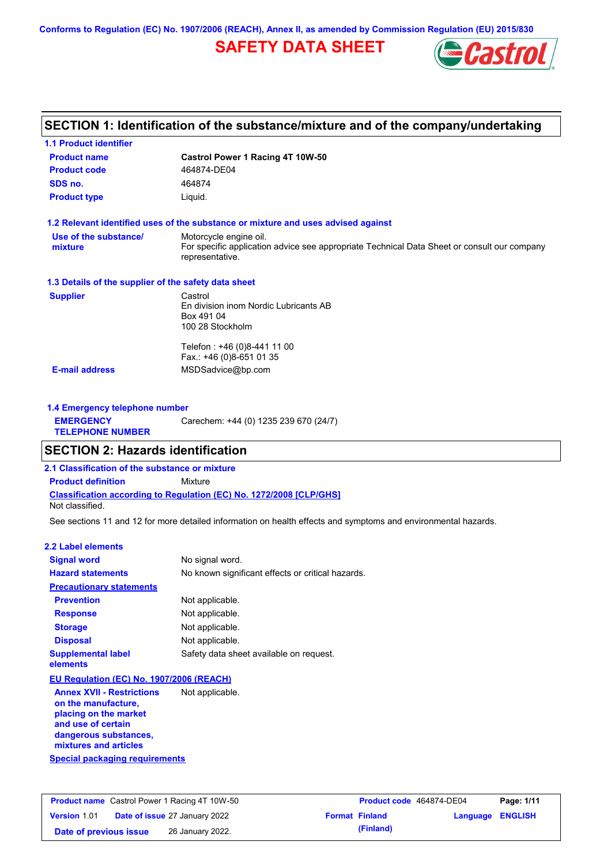**Conforms to Regulation (EC) No. 1907/2006 (REACH), Annex II, as amended by Commission Regulation (EU) 2015/830**

# **SAFETY DATA SHEET**



# **SECTION 1: Identification of the substance/mixture and of the company/undertaking**

| <b>1.1 Product identifier</b>                        |                                                                                                                |
|------------------------------------------------------|----------------------------------------------------------------------------------------------------------------|
| <b>Product name</b>                                  | Castrol Power 1 Racing 4T 10W-50                                                                               |
| <b>Product code</b>                                  | 464874-DE04                                                                                                    |
| SDS no.                                              | 464874                                                                                                         |
| <b>Product type</b>                                  | Liquid.                                                                                                        |
|                                                      | 1.2 Relevant identified uses of the substance or mixture and uses advised against                              |
| Use of the substance/                                | Motorcycle engine oil.                                                                                         |
| mixture                                              | For specific application advice see appropriate Technical Data Sheet or consult our company<br>representative. |
| 1.3 Details of the supplier of the safety data sheet |                                                                                                                |
| <b>Supplier</b>                                      | Castrol                                                                                                        |
|                                                      | En division inom Nordic Lubricants AB<br>Box 491 04                                                            |
|                                                      | 100 28 Stockholm                                                                                               |
|                                                      | Telefon: +46 (0)8-441 11 00                                                                                    |
|                                                      | Fax.: +46 (0)8-651 01 35                                                                                       |
| <b>E-mail address</b>                                | MSDSadvice@bp.com                                                                                              |
| 1.4 Emergency telephone number                       |                                                                                                                |
| <b>EMERGENCY</b>                                     | Carechem: +44 (0) 1235 239 670 (24/7)                                                                          |

| <b>EMERGENCY</b>        | Carechem: +44 (0) 123 |
|-------------------------|-----------------------|
| <b>TELEPHONE NUMBER</b> |                       |

# **SECTION 2: Hazards identification**

**2.1 Classification of the substance or mixture**

**Classification according to Regulation (EC) No. 1272/2008 [CLP/GHS] Product definition** Mixture

Not classified.

See sections 11 and 12 for more detailed information on health effects and symptoms and environmental hazards.

### **2.2 Label elements**

| <b>Signal word</b>                       | No signal word.                                   |
|------------------------------------------|---------------------------------------------------|
| <b>Hazard statements</b>                 | No known significant effects or critical hazards. |
| <b>Precautionary statements</b>          |                                                   |
| <b>Prevention</b>                        | Not applicable.                                   |
| <b>Response</b>                          | Not applicable.                                   |
| <b>Storage</b>                           | Not applicable.                                   |
| <b>Disposal</b>                          | Not applicable.                                   |
| <b>Supplemental label</b><br>elements    | Safety data sheet available on request.           |
| EU Regulation (EC) No. 1907/2006 (REACH) |                                                   |
| <b>Annex XVII - Restrictions</b>         | Not applicable.                                   |

**Special packaging requirements on the manufacture, placing on the market and use of certain dangerous substances, mixtures and articles**

|                        | <b>Product name</b> Castrol Power 1 Racing 4T 10W-50 | Product code 464874-DE04 |                         | Page: 1/11 |
|------------------------|------------------------------------------------------|--------------------------|-------------------------|------------|
| <b>Version 1.01</b>    | <b>Date of issue 27 January 2022</b>                 | <b>Format Finland</b>    | <b>Language ENGLISH</b> |            |
| Date of previous issue | 26 January 2022.                                     | (Finland)                |                         |            |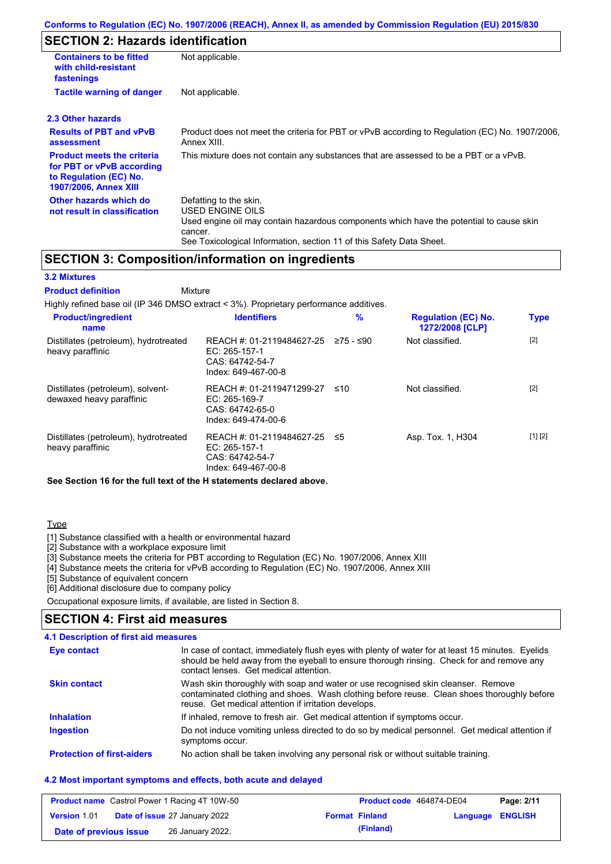# **SECTION 2: Hazards identification**

| <b>Containers to be fitted</b><br>with child-resistant<br>fastenings                                                     | Not applicable.                                                                                                                                                                                                          |
|--------------------------------------------------------------------------------------------------------------------------|--------------------------------------------------------------------------------------------------------------------------------------------------------------------------------------------------------------------------|
| <b>Tactile warning of danger</b>                                                                                         | Not applicable.                                                                                                                                                                                                          |
| 2.3 Other hazards                                                                                                        |                                                                                                                                                                                                                          |
| <b>Results of PBT and vPvB</b><br>assessment                                                                             | Product does not meet the criteria for PBT or vPvB according to Regulation (EC) No. 1907/2006,<br>Annex XIII.                                                                                                            |
| <b>Product meets the criteria</b><br>for PBT or vPvB according<br>to Regulation (EC) No.<br><b>1907/2006, Annex XIII</b> | This mixture does not contain any substances that are assessed to be a PBT or a vPvB.                                                                                                                                    |
| Other hazards which do<br>not result in classification                                                                   | Defatting to the skin.<br>USED ENGINE OILS<br>Used engine oil may contain hazardous components which have the potential to cause skin<br>cancer.<br>See Toxicological Information, section 11 of this Safety Data Sheet. |

### **SECTION 3: Composition/information on ingredients**

### **3.2 Mixtures**

Mixture **Product definition**

| Highly refined base oil (IP 346 DMSO extract < 3%). Proprietary performance additives. |                                                                                      |           |                                               |             |
|----------------------------------------------------------------------------------------|--------------------------------------------------------------------------------------|-----------|-----------------------------------------------|-------------|
| <b>Product/ingredient</b><br>name                                                      | <b>Identifiers</b>                                                                   | $\%$      | <b>Regulation (EC) No.</b><br>1272/2008 [CLP] | <b>Type</b> |
| Distillates (petroleum), hydrotreated<br>heavy paraffinic                              | REACH #: 01-2119484627-25<br>EC: 265-157-1<br>CAS: 64742-54-7<br>Index: 649-467-00-8 | 275 - ≤90 | Not classified.                               | $[2]$       |
| Distillates (petroleum), solvent-<br>dewaxed heavy paraffinic                          | REACH #: 01-2119471299-27<br>EC: 265-169-7<br>CAS: 64742-65-0<br>Index: 649-474-00-6 | ≤10       | Not classified.                               | $[2]$       |
| Distillates (petroleum), hydrotreated<br>heavy paraffinic                              | REACH #: 01-2119484627-25<br>EC: 265-157-1<br>CAS: 64742-54-7<br>Index: 649-467-00-8 | ≤5        | Asp. Tox. 1, H304                             | [1] [2]     |

**See Section 16 for the full text of the H statements declared above.**

### **Type**

[1] Substance classified with a health or environmental hazard

[2] Substance with a workplace exposure limit

[3] Substance meets the criteria for PBT according to Regulation (EC) No. 1907/2006, Annex XIII

[4] Substance meets the criteria for vPvB according to Regulation (EC) No. 1907/2006, Annex XIII

[5] Substance of equivalent concern

[6] Additional disclosure due to company policy

Occupational exposure limits, if available, are listed in Section 8.

### **SECTION 4: First aid measures**

### **4.1 Description of first aid measures**

| Eye contact                       | In case of contact, immediately flush eyes with plenty of water for at least 15 minutes. Eyelids<br>should be held away from the eyeball to ensure thorough rinsing. Check for and remove any<br>contact lenses. Get medical attention. |
|-----------------------------------|-----------------------------------------------------------------------------------------------------------------------------------------------------------------------------------------------------------------------------------------|
| <b>Skin contact</b>               | Wash skin thoroughly with soap and water or use recognised skin cleanser. Remove<br>contaminated clothing and shoes. Wash clothing before reuse. Clean shoes thoroughly before<br>reuse. Get medical attention if irritation develops.  |
| <b>Inhalation</b>                 | If inhaled, remove to fresh air. Get medical attention if symptoms occur.                                                                                                                                                               |
| <b>Ingestion</b>                  | Do not induce vomiting unless directed to do so by medical personnel. Get medical attention if<br>symptoms occur.                                                                                                                       |
| <b>Protection of first-aiders</b> | No action shall be taken involving any personal risk or without suitable training.                                                                                                                                                      |

#### **4.2 Most important symptoms and effects, both acute and delayed**

|                        | <b>Product name</b> Castrol Power 1 Racing 4T 10W-50 | Product code 464874-DE04 |                         | Page: 2/11 |
|------------------------|------------------------------------------------------|--------------------------|-------------------------|------------|
| <b>Version 1.01</b>    | <b>Date of issue 27 January 2022</b>                 | <b>Format Finland</b>    | <b>Language ENGLISH</b> |            |
| Date of previous issue | 26 January 2022.                                     | (Finland)                |                         |            |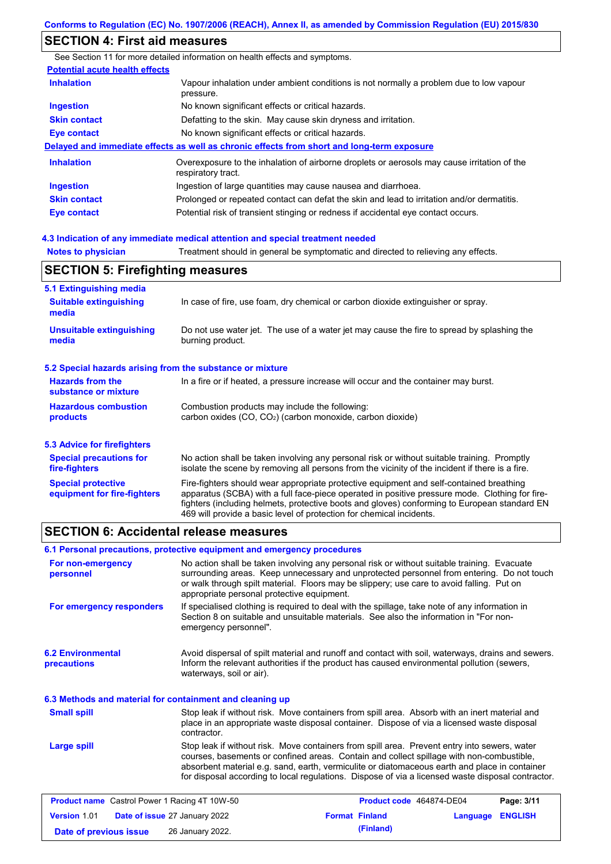### **SECTION 4: First aid measures**

**Notes to physician** Treatment should in general be symptomatic and directed to relieving any effects. **4.3 Indication of any immediate medical attention and special treatment needed** See Section 11 for more detailed information on health effects and symptoms. **Potential acute health effects Inhalation** Vapour inhalation under ambient conditions is not normally a problem due to low vapour pressure. **Ingestion** No known significant effects or critical hazards. **Skin contact** Defatting to the skin. May cause skin dryness and irritation. **Eye contact** No known significant effects or critical hazards. **Delayed and immediate effects as well as chronic effects from short and long-term exposure Inhalation Ingestion Skin contact Eye contact** Overexposure to the inhalation of airborne droplets or aerosols may cause irritation of the respiratory tract. Ingestion of large quantities may cause nausea and diarrhoea. Prolonged or repeated contact can defat the skin and lead to irritation and/or dermatitis. Potential risk of transient stinging or redness if accidental eye contact occurs.

| <b>SECTION 5: Firefighting measures</b>                           |                                                                                                                                                                                                                                                                                                                                                                   |  |  |
|-------------------------------------------------------------------|-------------------------------------------------------------------------------------------------------------------------------------------------------------------------------------------------------------------------------------------------------------------------------------------------------------------------------------------------------------------|--|--|
| 5.1 Extinguishing media<br><b>Suitable extinguishing</b><br>media | In case of fire, use foam, dry chemical or carbon dioxide extinguisher or spray.                                                                                                                                                                                                                                                                                  |  |  |
| <b>Unsuitable extinguishing</b><br>media                          | Do not use water jet. The use of a water jet may cause the fire to spread by splashing the<br>burning product.                                                                                                                                                                                                                                                    |  |  |
| 5.2 Special hazards arising from the substance or mixture         |                                                                                                                                                                                                                                                                                                                                                                   |  |  |
| <b>Hazards from the</b><br>substance or mixture                   | In a fire or if heated, a pressure increase will occur and the container may burst.                                                                                                                                                                                                                                                                               |  |  |
| <b>Hazardous combustion</b><br><b>products</b>                    | Combustion products may include the following:<br>carbon oxides $(CO, CO2)$ (carbon monoxide, carbon dioxide)                                                                                                                                                                                                                                                     |  |  |
| 5.3 Advice for firefighters                                       |                                                                                                                                                                                                                                                                                                                                                                   |  |  |
| <b>Special precautions for</b><br>fire-fighters                   | No action shall be taken involving any personal risk or without suitable training. Promptly<br>isolate the scene by removing all persons from the vicinity of the incident if there is a fire.                                                                                                                                                                    |  |  |
| <b>Special protective</b><br>equipment for fire-fighters          | Fire-fighters should wear appropriate protective equipment and self-contained breathing<br>apparatus (SCBA) with a full face-piece operated in positive pressure mode. Clothing for fire-<br>fighters (including helmets, protective boots and gloves) conforming to European standard EN<br>469 will provide a basic level of protection for chemical incidents. |  |  |

### **SECTION 6: Accidental release measures**

| 6.1 Personal precautions, protective equipment and emergency procedures |                                            |                                                                                                                                                                                                                                                                                                                                                                                                |                  |            |
|-------------------------------------------------------------------------|--------------------------------------------|------------------------------------------------------------------------------------------------------------------------------------------------------------------------------------------------------------------------------------------------------------------------------------------------------------------------------------------------------------------------------------------------|------------------|------------|
| For non-emergency<br>personnel                                          | appropriate personal protective equipment. | No action shall be taken involving any personal risk or without suitable training. Evacuate<br>surrounding areas. Keep unnecessary and unprotected personnel from entering. Do not touch<br>or walk through spilt material. Floors may be slippery; use care to avoid falling. Put on                                                                                                          |                  |            |
| For emergency responders                                                | emergency personnel".                      | If specialised clothing is required to deal with the spillage, take note of any information in<br>Section 8 on suitable and unsuitable materials. See also the information in "For non-                                                                                                                                                                                                        |                  |            |
| <b>6.2 Environmental</b><br>precautions                                 | waterways, soil or air).                   | Avoid dispersal of spilt material and runoff and contact with soil, waterways, drains and sewers.<br>Inform the relevant authorities if the product has caused environmental pollution (sewers,                                                                                                                                                                                                |                  |            |
| 6.3 Methods and material for containment and cleaning up                |                                            |                                                                                                                                                                                                                                                                                                                                                                                                |                  |            |
| <b>Small spill</b>                                                      | contractor.                                | Stop leak if without risk. Move containers from spill area. Absorb with an inert material and<br>place in an appropriate waste disposal container. Dispose of via a licensed waste disposal                                                                                                                                                                                                    |                  |            |
| <b>Large spill</b>                                                      |                                            | Stop leak if without risk. Move containers from spill area. Prevent entry into sewers, water<br>courses, basements or confined areas. Contain and collect spillage with non-combustible,<br>absorbent material e.g. sand, earth, vermiculite or diatomaceous earth and place in container<br>for disposal according to local regulations. Dispose of via a licensed waste disposal contractor. |                  |            |
| <b>Product name</b> Castrol Power 1 Racing 4T 10W-50                    |                                            | Product code 464874-DE04                                                                                                                                                                                                                                                                                                                                                                       |                  | Page: 3/11 |
| <b>Version 1.01</b>                                                     | Date of issue 27 January 2022              | <b>Format Finland</b>                                                                                                                                                                                                                                                                                                                                                                          | Language ENGLISH |            |

**Date of previous issue (Finland)** 26 January 2022.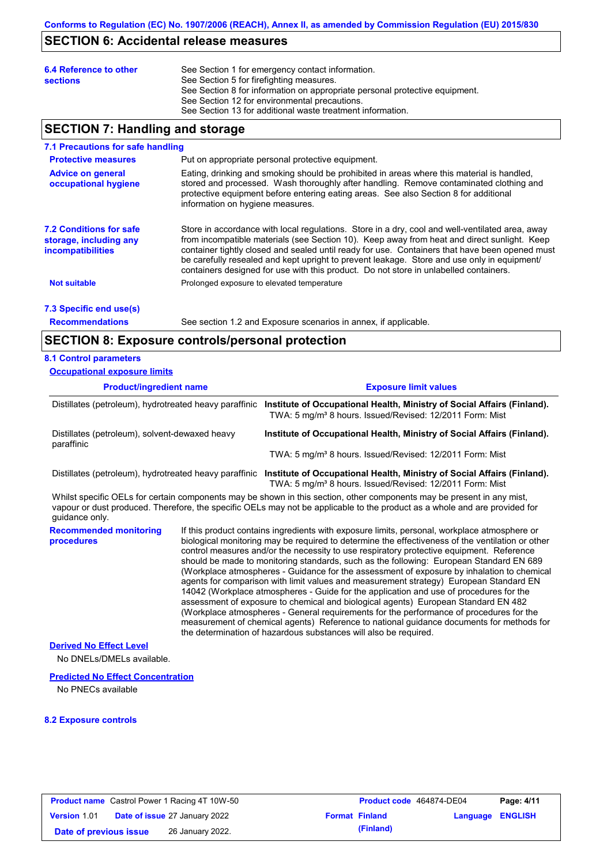## **SECTION 6: Accidental release measures**

| 6.4 Reference to other<br><b>sections</b> | See Section 1 for emergency contact information.<br>See Section 5 for firefighting measures.<br>See Section 8 for information on appropriate personal protective equipment.<br>See Section 12 for environmental precautions. |
|-------------------------------------------|------------------------------------------------------------------------------------------------------------------------------------------------------------------------------------------------------------------------------|
|                                           | See Section 13 for additional waste treatment information.                                                                                                                                                                   |

# **SECTION 7: Handling and storage**

#### **7.1 Precautions for safe handling**

| <b>Protective measures</b>                                                           | Put on appropriate personal protective equipment.                                                                                                                                                                                                                                                                                                                                                                                                                                        |
|--------------------------------------------------------------------------------------|------------------------------------------------------------------------------------------------------------------------------------------------------------------------------------------------------------------------------------------------------------------------------------------------------------------------------------------------------------------------------------------------------------------------------------------------------------------------------------------|
| <b>Advice on general</b><br>occupational hygiene                                     | Eating, drinking and smoking should be prohibited in areas where this material is handled,<br>stored and processed. Wash thoroughly after handling. Remove contaminated clothing and<br>protective equipment before entering eating areas. See also Section 8 for additional<br>information on hygiene measures.                                                                                                                                                                         |
| <b>7.2 Conditions for safe</b><br>storage, including any<br><b>incompatibilities</b> | Store in accordance with local regulations. Store in a dry, cool and well-ventilated area, away<br>from incompatible materials (see Section 10). Keep away from heat and direct sunlight. Keep<br>container tightly closed and sealed until ready for use. Containers that have been opened must<br>be carefully resealed and kept upright to prevent leakage. Store and use only in equipment/<br>containers designed for use with this product. Do not store in unlabelled containers. |
| <b>Not suitable</b>                                                                  | Prolonged exposure to elevated temperature                                                                                                                                                                                                                                                                                                                                                                                                                                               |
|                                                                                      |                                                                                                                                                                                                                                                                                                                                                                                                                                                                                          |

# **7.3 Specific end use(s)**

**Recommendations**

See section 1.2 and Exposure scenarios in annex, if applicable.

### **SECTION 8: Exposure controls/personal protection**

### **8.1 Control parameters**

| <b>Occupational exposure limits</b>                          |  |                                                                                                                                                                                                                                                                                                                                                                                                                                                                                                                                                                                                                                                                           |  |  |  |  |
|--------------------------------------------------------------|--|---------------------------------------------------------------------------------------------------------------------------------------------------------------------------------------------------------------------------------------------------------------------------------------------------------------------------------------------------------------------------------------------------------------------------------------------------------------------------------------------------------------------------------------------------------------------------------------------------------------------------------------------------------------------------|--|--|--|--|
| <b>Product/ingredient name</b>                               |  | <b>Exposure limit values</b>                                                                                                                                                                                                                                                                                                                                                                                                                                                                                                                                                                                                                                              |  |  |  |  |
| Distillates (petroleum), hydrotreated heavy paraffinic       |  | Institute of Occupational Health, Ministry of Social Affairs (Finland).<br>TWA: 5 mg/m <sup>3</sup> 8 hours. Issued/Revised: 12/2011 Form: Mist                                                                                                                                                                                                                                                                                                                                                                                                                                                                                                                           |  |  |  |  |
| Distillates (petroleum), solvent-dewaxed heavy<br>paraffinic |  | Institute of Occupational Health, Ministry of Social Affairs (Finland).                                                                                                                                                                                                                                                                                                                                                                                                                                                                                                                                                                                                   |  |  |  |  |
|                                                              |  | TWA: 5 mg/m <sup>3</sup> 8 hours. Issued/Revised: 12/2011 Form: Mist                                                                                                                                                                                                                                                                                                                                                                                                                                                                                                                                                                                                      |  |  |  |  |
|                                                              |  | Distillates (petroleum), hydrotreated heavy paraffinic Institute of Occupational Health, Ministry of Social Affairs (Finland).<br>TWA: 5 mg/m <sup>3</sup> 8 hours. Issued/Revised: 12/2011 Form: Mist                                                                                                                                                                                                                                                                                                                                                                                                                                                                    |  |  |  |  |
| quidance only.                                               |  | Whilst specific OELs for certain components may be shown in this section, other components may be present in any mist,<br>vapour or dust produced. Therefore, the specific OELs may not be applicable to the product as a whole and are provided for                                                                                                                                                                                                                                                                                                                                                                                                                      |  |  |  |  |
| <b>Recommended monitoring</b><br>procedures                  |  | If this product contains ingredients with exposure limits, personal, workplace atmosphere or<br>biological monitoring may be required to determine the effectiveness of the ventilation or other<br>control measures and/or the necessity to use respiratory protective equipment. Reference<br>should be made to monitoring standards, such as the following: European Standard EN 689<br>(Workplace atmospheres - Guidance for the assessment of exposure by inhalation to chemical<br>agents for comparison with limit values and measurement strategy) European Standard EN<br>14042 (Workplace atmospheres - Guide for the application and use of procedures for the |  |  |  |  |

the determination of hazardous substances will also be required.

assessment of exposure to chemical and biological agents) European Standard EN 482 (Workplace atmospheres - General requirements for the performance of procedures for the measurement of chemical agents) Reference to national guidance documents for methods for

**Derived No Effect Level**

No DNELs/DMELs available.

#### **Predicted No Effect Concentration**

No PNECs available

#### **8.2 Exposure controls**

|                        | <b>Product name</b> Castrol Power 1 Racing 4T 10W-50 | Product code 464874-DE04 |                         | Page: 4/11 |
|------------------------|------------------------------------------------------|--------------------------|-------------------------|------------|
| <b>Version 1.01</b>    | <b>Date of issue 27 January 2022</b>                 | <b>Format Finland</b>    | <b>Language ENGLISH</b> |            |
| Date of previous issue | 26 January 2022.                                     | (Finland)                |                         |            |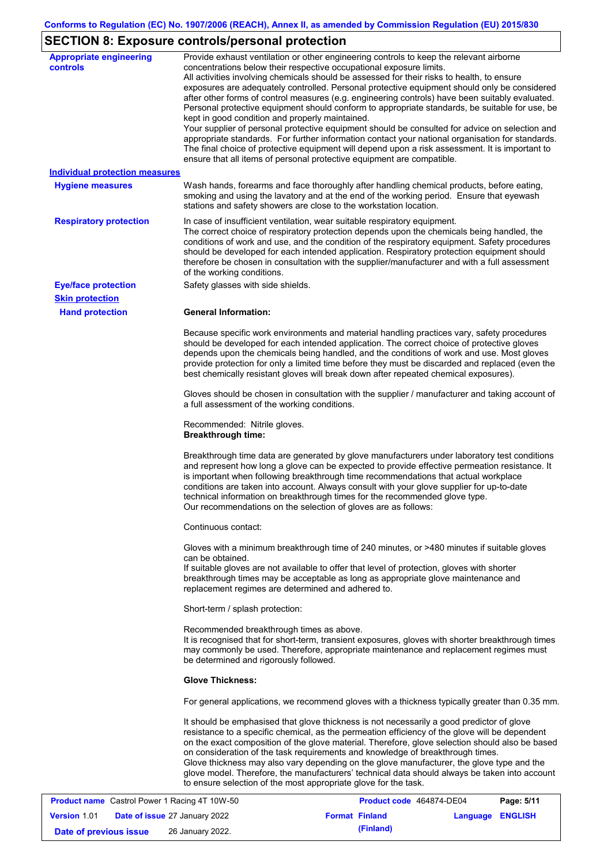# **SECTION 8: Exposure controls/personal protection**

| <b>Appropriate engineering</b><br><b>controls</b> | Provide exhaust ventilation or other engineering controls to keep the relevant airborne<br>concentrations below their respective occupational exposure limits.<br>All activities involving chemicals should be assessed for their risks to health, to ensure<br>exposures are adequately controlled. Personal protective equipment should only be considered<br>after other forms of control measures (e.g. engineering controls) have been suitably evaluated.<br>Personal protective equipment should conform to appropriate standards, be suitable for use, be<br>kept in good condition and properly maintained.<br>Your supplier of personal protective equipment should be consulted for advice on selection and<br>appropriate standards. For further information contact your national organisation for standards.<br>The final choice of protective equipment will depend upon a risk assessment. It is important to<br>ensure that all items of personal protective equipment are compatible. |
|---------------------------------------------------|---------------------------------------------------------------------------------------------------------------------------------------------------------------------------------------------------------------------------------------------------------------------------------------------------------------------------------------------------------------------------------------------------------------------------------------------------------------------------------------------------------------------------------------------------------------------------------------------------------------------------------------------------------------------------------------------------------------------------------------------------------------------------------------------------------------------------------------------------------------------------------------------------------------------------------------------------------------------------------------------------------|
| <b>Individual protection measures</b>             |                                                                                                                                                                                                                                                                                                                                                                                                                                                                                                                                                                                                                                                                                                                                                                                                                                                                                                                                                                                                         |
| <b>Hygiene measures</b>                           | Wash hands, forearms and face thoroughly after handling chemical products, before eating,<br>smoking and using the lavatory and at the end of the working period. Ensure that eyewash<br>stations and safety showers are close to the workstation location.                                                                                                                                                                                                                                                                                                                                                                                                                                                                                                                                                                                                                                                                                                                                             |
| <b>Respiratory protection</b>                     | In case of insufficient ventilation, wear suitable respiratory equipment.<br>The correct choice of respiratory protection depends upon the chemicals being handled, the<br>conditions of work and use, and the condition of the respiratory equipment. Safety procedures<br>should be developed for each intended application. Respiratory protection equipment should<br>therefore be chosen in consultation with the supplier/manufacturer and with a full assessment<br>of the working conditions.                                                                                                                                                                                                                                                                                                                                                                                                                                                                                                   |
| <b>Eye/face protection</b>                        | Safety glasses with side shields.                                                                                                                                                                                                                                                                                                                                                                                                                                                                                                                                                                                                                                                                                                                                                                                                                                                                                                                                                                       |
| <b>Skin protection</b>                            |                                                                                                                                                                                                                                                                                                                                                                                                                                                                                                                                                                                                                                                                                                                                                                                                                                                                                                                                                                                                         |
| <b>Hand protection</b>                            | <b>General Information:</b>                                                                                                                                                                                                                                                                                                                                                                                                                                                                                                                                                                                                                                                                                                                                                                                                                                                                                                                                                                             |
|                                                   | Because specific work environments and material handling practices vary, safety procedures<br>should be developed for each intended application. The correct choice of protective gloves<br>depends upon the chemicals being handled, and the conditions of work and use. Most gloves<br>provide protection for only a limited time before they must be discarded and replaced (even the<br>best chemically resistant gloves will break down after repeated chemical exposures).                                                                                                                                                                                                                                                                                                                                                                                                                                                                                                                        |
|                                                   | Gloves should be chosen in consultation with the supplier / manufacturer and taking account of<br>a full assessment of the working conditions.                                                                                                                                                                                                                                                                                                                                                                                                                                                                                                                                                                                                                                                                                                                                                                                                                                                          |
|                                                   | Recommended: Nitrile gloves.<br><b>Breakthrough time:</b>                                                                                                                                                                                                                                                                                                                                                                                                                                                                                                                                                                                                                                                                                                                                                                                                                                                                                                                                               |
|                                                   | Breakthrough time data are generated by glove manufacturers under laboratory test conditions<br>and represent how long a glove can be expected to provide effective permeation resistance. It<br>is important when following breakthrough time recommendations that actual workplace<br>conditions are taken into account. Always consult with your glove supplier for up-to-date<br>technical information on breakthrough times for the recommended glove type.<br>Our recommendations on the selection of gloves are as follows:                                                                                                                                                                                                                                                                                                                                                                                                                                                                      |
|                                                   | Continuous contact:                                                                                                                                                                                                                                                                                                                                                                                                                                                                                                                                                                                                                                                                                                                                                                                                                                                                                                                                                                                     |
|                                                   | Gloves with a minimum breakthrough time of 240 minutes, or >480 minutes if suitable gloves<br>can be obtained.<br>If suitable gloves are not available to offer that level of protection, gloves with shorter<br>breakthrough times may be acceptable as long as appropriate glove maintenance and<br>replacement regimes are determined and adhered to.                                                                                                                                                                                                                                                                                                                                                                                                                                                                                                                                                                                                                                                |
|                                                   | Short-term / splash protection:                                                                                                                                                                                                                                                                                                                                                                                                                                                                                                                                                                                                                                                                                                                                                                                                                                                                                                                                                                         |
|                                                   | Recommended breakthrough times as above.<br>It is recognised that for short-term, transient exposures, gloves with shorter breakthrough times<br>may commonly be used. Therefore, appropriate maintenance and replacement regimes must<br>be determined and rigorously followed.                                                                                                                                                                                                                                                                                                                                                                                                                                                                                                                                                                                                                                                                                                                        |
|                                                   | <b>Glove Thickness:</b>                                                                                                                                                                                                                                                                                                                                                                                                                                                                                                                                                                                                                                                                                                                                                                                                                                                                                                                                                                                 |
|                                                   | For general applications, we recommend gloves with a thickness typically greater than 0.35 mm.                                                                                                                                                                                                                                                                                                                                                                                                                                                                                                                                                                                                                                                                                                                                                                                                                                                                                                          |
|                                                   | It should be emphasised that glove thickness is not necessarily a good predictor of glove<br>resistance to a specific chemical, as the permeation efficiency of the glove will be dependent<br>on the exact composition of the glove material. Therefore, glove selection should also be based<br>on consideration of the task requirements and knowledge of breakthrough times.<br>Glove thickness may also vary depending on the glove manufacturer, the glove type and the<br>glove model. Therefore, the manufacturers' technical data should always be taken into account<br>to ensure selection of the most appropriate glove for the task.                                                                                                                                                                                                                                                                                                                                                       |
| Coetrol Dower 1 Poeing 4T 1014 50                 | Dao: E/44<br><b>Droduct code</b> 464974 DE04                                                                                                                                                                                                                                                                                                                                                                                                                                                                                                                                                                                                                                                                                                                                                                                                                                                                                                                                                            |

|                        | <b>Product name</b> Castrol Power 1 Racing 4T 10W-50 | Product code 464874-DE04 |                         | Page: 5/11 |
|------------------------|------------------------------------------------------|--------------------------|-------------------------|------------|
| <b>Version 1.01</b>    | <b>Date of issue 27 January 2022</b>                 | <b>Format Finland</b>    | <b>Language ENGLISH</b> |            |
| Date of previous issue | 26 January 2022.                                     | (Finland)                |                         |            |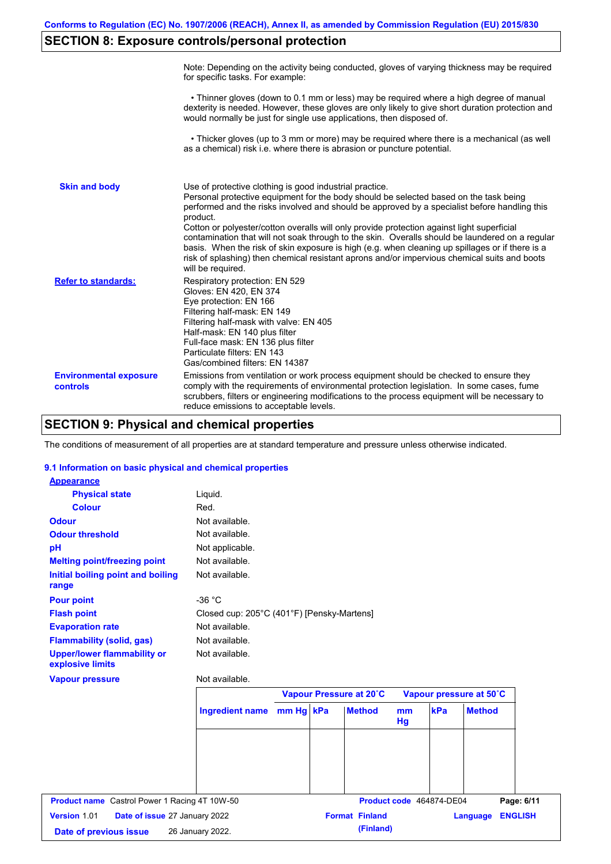# **SECTION 8: Exposure controls/personal protection**

|                                           | Note: Depending on the activity being conducted, gloves of varying thickness may be required<br>for specific tasks. For example:                                                                                                                                                                                                                                                                                                                                                                                                                                                                                                                                                      |
|-------------------------------------------|---------------------------------------------------------------------------------------------------------------------------------------------------------------------------------------------------------------------------------------------------------------------------------------------------------------------------------------------------------------------------------------------------------------------------------------------------------------------------------------------------------------------------------------------------------------------------------------------------------------------------------------------------------------------------------------|
|                                           | • Thinner gloves (down to 0.1 mm or less) may be required where a high degree of manual<br>dexterity is needed. However, these gloves are only likely to give short duration protection and<br>would normally be just for single use applications, then disposed of.                                                                                                                                                                                                                                                                                                                                                                                                                  |
|                                           | • Thicker gloves (up to 3 mm or more) may be required where there is a mechanical (as well<br>as a chemical) risk i.e. where there is abrasion or puncture potential.                                                                                                                                                                                                                                                                                                                                                                                                                                                                                                                 |
| <b>Skin and body</b>                      | Use of protective clothing is good industrial practice.<br>Personal protective equipment for the body should be selected based on the task being<br>performed and the risks involved and should be approved by a specialist before handling this<br>product.<br>Cotton or polyester/cotton overalls will only provide protection against light superficial<br>contamination that will not soak through to the skin. Overalls should be laundered on a regular<br>basis. When the risk of skin exposure is high (e.g. when cleaning up spillages or if there is a<br>risk of splashing) then chemical resistant aprons and/or impervious chemical suits and boots<br>will be required. |
| <b>Refer to standards:</b>                | Respiratory protection: EN 529<br>Gloves: EN 420, EN 374<br>Eye protection: EN 166<br>Filtering half-mask: EN 149<br>Filtering half-mask with valve: EN 405<br>Half-mask: EN 140 plus filter<br>Full-face mask: EN 136 plus filter<br>Particulate filters: EN 143<br>Gas/combined filters: EN 14387                                                                                                                                                                                                                                                                                                                                                                                   |
| <b>Environmental exposure</b><br>controls | Emissions from ventilation or work process equipment should be checked to ensure they<br>comply with the requirements of environmental protection legislation. In some cases, fume<br>scrubbers, filters or engineering modifications to the process equipment will be necessary to<br>reduce emissions to acceptable levels.                                                                                                                                                                                                                                                                                                                                                         |

## **SECTION 9: Physical and chemical properties**

The conditions of measurement of all properties are at standard temperature and pressure unless otherwise indicated.

### **9.1 Information on basic physical and chemical properties**

| <b>Appearance</b>                                      |                                            |           |                         |                      |                          |                            |
|--------------------------------------------------------|--------------------------------------------|-----------|-------------------------|----------------------|--------------------------|----------------------------|
| <b>Physical state</b>                                  | Liquid.                                    |           |                         |                      |                          |                            |
| <b>Colour</b>                                          | Red.                                       |           |                         |                      |                          |                            |
| <b>Odour</b>                                           | Not available.                             |           |                         |                      |                          |                            |
| <b>Odour threshold</b>                                 | Not available.                             |           |                         |                      |                          |                            |
| pH                                                     | Not applicable.                            |           |                         |                      |                          |                            |
| <b>Melting point/freezing point</b>                    | Not available.                             |           |                         |                      |                          |                            |
| Initial boiling point and boiling<br>range             | Not available.                             |           |                         |                      |                          |                            |
| <b>Pour point</b>                                      | $-36 °C$                                   |           |                         |                      |                          |                            |
| <b>Flash point</b>                                     | Closed cup: 205°C (401°F) [Pensky-Martens] |           |                         |                      |                          |                            |
| <b>Evaporation rate</b>                                | Not available.                             |           |                         |                      |                          |                            |
| <b>Flammability (solid, gas)</b>                       | Not available.                             |           |                         |                      |                          |                            |
| <b>Upper/lower flammability or</b><br>explosive limits | Not available.                             |           |                         |                      |                          |                            |
| <b>Vapour pressure</b>                                 | Not available.                             |           |                         |                      |                          |                            |
|                                                        |                                            |           | Vapour Pressure at 20°C |                      |                          | Vapour pressure at 50°C    |
|                                                        | <b>Ingredient name</b>                     | mm Hg kPa | <b>Method</b>           | m <sub>m</sub><br>Hg | kPa                      | <b>Method</b>              |
|                                                        |                                            |           |                         |                      |                          |                            |
|                                                        |                                            |           |                         |                      |                          |                            |
|                                                        |                                            |           |                         |                      |                          |                            |
| <b>Product name</b> Castrol Power 1 Racing 4T 10W-50   |                                            |           |                         |                      | Product code 464874-DE04 | Page: 6/11                 |
|                                                        |                                            |           |                         |                      |                          |                            |
| Version 1.01<br>Date of issue 27 January 2022          |                                            |           | <b>Format Finland</b>   |                      |                          | <b>ENGLISH</b><br>Language |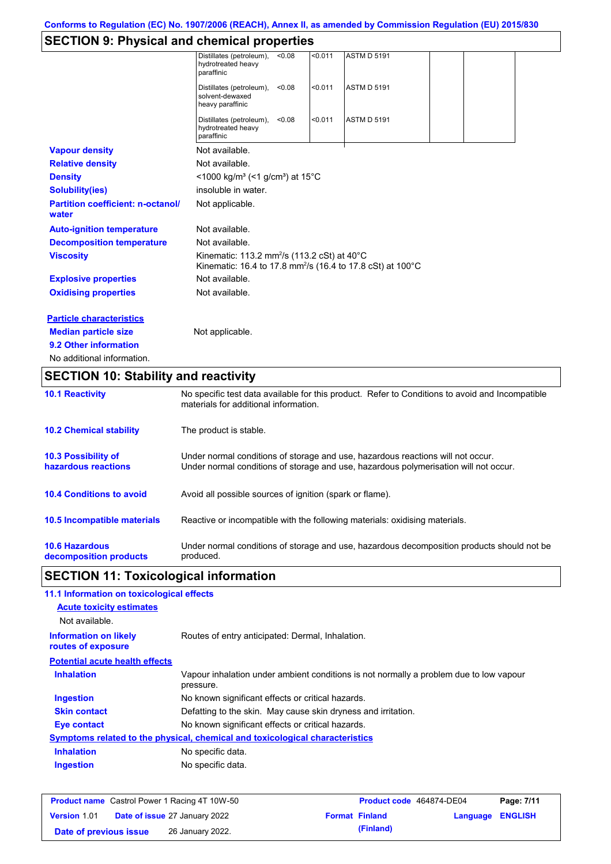# **SECTION 9: Physical and chemical properties**

|                                                   | Distillates (petroleum),<br>hydrotreated heavy<br>paraffinic                                                                             | < 0.08 | < 0.011 | <b>ASTM D 5191</b>                                                     |  |  |
|---------------------------------------------------|------------------------------------------------------------------------------------------------------------------------------------------|--------|---------|------------------------------------------------------------------------|--|--|
|                                                   | Distillates (petroleum),<br>solvent-dewaxed<br>heavy paraffinic                                                                          | < 0.08 | < 0.011 | <b>ASTM D 5191</b>                                                     |  |  |
|                                                   | Distillates (petroleum),<br>hydrotreated heavy<br>paraffinic                                                                             | < 0.08 | < 0.011 | <b>ASTM D 5191</b>                                                     |  |  |
| <b>Vapour density</b>                             | Not available.                                                                                                                           |        |         |                                                                        |  |  |
| <b>Relative density</b>                           | Not available.                                                                                                                           |        |         |                                                                        |  |  |
| <b>Density</b>                                    | <1000 kg/m <sup>3</sup> (<1 g/cm <sup>3</sup> ) at 15 <sup>°</sup> C                                                                     |        |         |                                                                        |  |  |
| <b>Solubility(ies)</b>                            | insoluble in water.                                                                                                                      |        |         |                                                                        |  |  |
| <b>Partition coefficient: n-octanol/</b><br>water | Not applicable.                                                                                                                          |        |         |                                                                        |  |  |
| <b>Auto-ignition temperature</b>                  | Not available.                                                                                                                           |        |         |                                                                        |  |  |
| <b>Decomposition temperature</b>                  | Not available.                                                                                                                           |        |         |                                                                        |  |  |
| <b>Viscosity</b>                                  | Kinematic: 113.2 mm <sup>2</sup> /s (113.2 cSt) at 40°C                                                                                  |        |         | Kinematic: 16.4 to 17.8 mm <sup>2</sup> /s (16.4 to 17.8 cSt) at 100°C |  |  |
| <b>Explosive properties</b>                       | Not available.                                                                                                                           |        |         |                                                                        |  |  |
| <b>Oxidising properties</b>                       | Not available.                                                                                                                           |        |         |                                                                        |  |  |
| <b>Particle characteristics</b>                   |                                                                                                                                          |        |         |                                                                        |  |  |
| <b>Median particle size</b>                       | Not applicable.                                                                                                                          |        |         |                                                                        |  |  |
| 9.2 Other information                             |                                                                                                                                          |        |         |                                                                        |  |  |
| No additional information.                        |                                                                                                                                          |        |         |                                                                        |  |  |
| <b>SECTION 10: Stability and reactivity</b>       |                                                                                                                                          |        |         |                                                                        |  |  |
| <b>10.1 Reactivity</b>                            | No specific test data available for this product. Refer to Conditions to avoid and Incompatible<br>materials for additional information. |        |         |                                                                        |  |  |
| <b>10.2 Chemical stability</b>                    | The product is stable.                                                                                                                   |        |         |                                                                        |  |  |

| <b>10.3 Possibility of</b>      | Under normal conditions of storage and use, hazardous reactions will not occur.            |
|---------------------------------|--------------------------------------------------------------------------------------------|
| hazardous reactions             | Under normal conditions of storage and use, hazardous polymerisation will not occur.       |
| <b>10.4 Conditions to avoid</b> | Avoid all possible sources of ignition (spark or flame).                                   |
| 10.5 Incompatible materials     | Reactive or incompatible with the following materials: oxidising materials.                |
| <b>10.6 Hazardous</b>           | Under normal conditions of storage and use, hazardous decomposition products should not be |
| decomposition products          | produced.                                                                                  |

# **SECTION 11: Toxicological information**

| 11.1 Information on toxicological effects          |                                                                                                     |
|----------------------------------------------------|-----------------------------------------------------------------------------------------------------|
| <b>Acute toxicity estimates</b>                    |                                                                                                     |
| Not available.                                     |                                                                                                     |
| <b>Information on likely</b><br>routes of exposure | Routes of entry anticipated: Dermal, Inhalation.                                                    |
| <b>Potential acute health effects</b>              |                                                                                                     |
| <b>Inhalation</b>                                  | Vapour inhalation under ambient conditions is not normally a problem due to low vapour<br>pressure. |
| <b>Ingestion</b>                                   | No known significant effects or critical hazards.                                                   |
| <b>Skin contact</b>                                | Defatting to the skin. May cause skin dryness and irritation.                                       |
| Eye contact                                        | No known significant effects or critical hazards.                                                   |
|                                                    | Symptoms related to the physical, chemical and toxicological characteristics                        |
| <b>Inhalation</b>                                  | No specific data.                                                                                   |
| <b>Ingestion</b>                                   | No specific data.                                                                                   |
|                                                    |                                                                                                     |

|                        | <b>Product name</b> Castrol Power 1 Racing 4T 10W-50 | Product code 464874-DE04 |                         | Page: 7/11 |
|------------------------|------------------------------------------------------|--------------------------|-------------------------|------------|
| <b>Version 1.01</b>    | <b>Date of issue 27 January 2022</b>                 | <b>Format Finland</b>    | <b>Language ENGLISH</b> |            |
| Date of previous issue | 26 January 2022.                                     | (Finland)                |                         |            |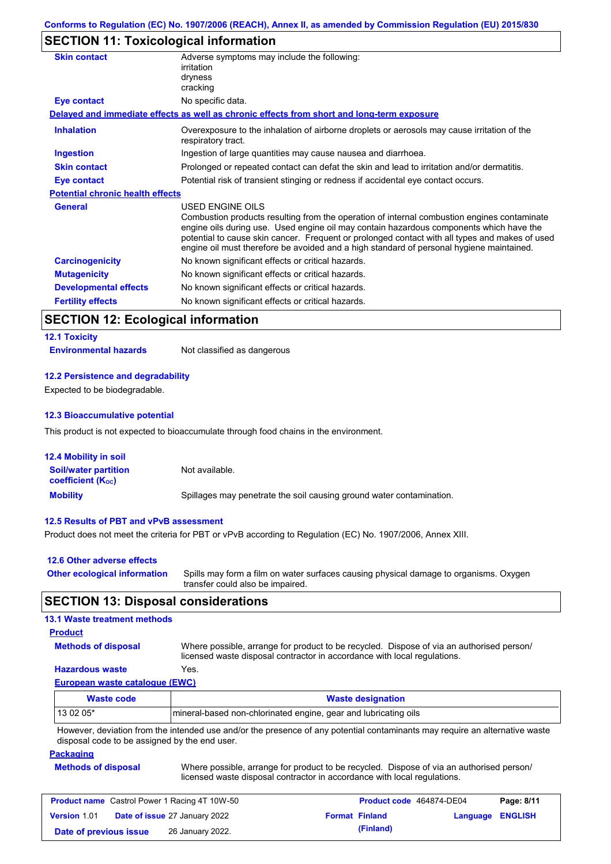# **SECTION 11: Toxicological information**

| <b>Skin contact</b>                     | Adverse symptoms may include the following:<br>irritation<br>dryness<br>cracking                                                                                                                                                                                                                                                                                                                                |
|-----------------------------------------|-----------------------------------------------------------------------------------------------------------------------------------------------------------------------------------------------------------------------------------------------------------------------------------------------------------------------------------------------------------------------------------------------------------------|
| Eye contact                             | No specific data.                                                                                                                                                                                                                                                                                                                                                                                               |
|                                         | Delayed and immediate effects as well as chronic effects from short and long-term exposure                                                                                                                                                                                                                                                                                                                      |
| <b>Inhalation</b>                       | Overexposure to the inhalation of airborne droplets or aerosols may cause irritation of the<br>respiratory tract.                                                                                                                                                                                                                                                                                               |
| <b>Ingestion</b>                        | Ingestion of large quantities may cause nausea and diarrhoea.                                                                                                                                                                                                                                                                                                                                                   |
| <b>Skin contact</b>                     | Prolonged or repeated contact can defat the skin and lead to irritation and/or dermatitis.                                                                                                                                                                                                                                                                                                                      |
| <b>Eye contact</b>                      | Potential risk of transient stinging or redness if accidental eye contact occurs.                                                                                                                                                                                                                                                                                                                               |
| <b>Potential chronic health effects</b> |                                                                                                                                                                                                                                                                                                                                                                                                                 |
| <b>General</b>                          | <b>USED ENGINE OILS</b><br>Combustion products resulting from the operation of internal combustion engines contaminate<br>engine oils during use. Used engine oil may contain hazardous components which have the<br>potential to cause skin cancer. Frequent or prolonged contact with all types and makes of used<br>engine oil must therefore be avoided and a high standard of personal hygiene maintained. |
| <b>Carcinogenicity</b>                  | No known significant effects or critical hazards.                                                                                                                                                                                                                                                                                                                                                               |
| <b>Mutagenicity</b>                     | No known significant effects or critical hazards.                                                                                                                                                                                                                                                                                                                                                               |
| <b>Developmental effects</b>            | No known significant effects or critical hazards.                                                                                                                                                                                                                                                                                                                                                               |
| <b>Fertility effects</b>                | No known significant effects or critical hazards.                                                                                                                                                                                                                                                                                                                                                               |
|                                         |                                                                                                                                                                                                                                                                                                                                                                                                                 |

# **SECTION 12: Ecological information**

# **12.1 Toxicity**

**Environmental hazards** Not classified as dangerous

### **12.2 Persistence and degradability**

Expected to be biodegradable.

#### **12.3 Bioaccumulative potential**

This product is not expected to bioaccumulate through food chains in the environment.

| <b>12.4 Mobility in soil</b>                            |                                                                      |
|---------------------------------------------------------|----------------------------------------------------------------------|
| <b>Soil/water partition</b><br><b>coefficient (Koc)</b> | Not available.                                                       |
| <b>Mobility</b>                                         | Spillages may penetrate the soil causing ground water contamination. |

#### **12.5 Results of PBT and vPvB assessment**

Product does not meet the criteria for PBT or vPvB according to Regulation (EC) No. 1907/2006, Annex XIII.

| 12.6 Other adverse effects          |                                                                                                                           |
|-------------------------------------|---------------------------------------------------------------------------------------------------------------------------|
| <b>Other ecological information</b> | Spills may form a film on water surfaces causing physical damage to organisms. Oxygen<br>transfer could also be impaired. |

### **SECTION 13: Disposal considerations**

### **13.1 Waste treatment methods**

### **Product**

**Methods of disposal**

Where possible, arrange for product to be recycled. Dispose of via an authorised person/ licensed waste disposal contractor in accordance with local regulations.

### **Hazardous waste** Yes.

**European waste catalogue (EWC)**

| <b>Waste code</b> | <b>Waste designation</b>                                                                                                    |
|-------------------|-----------------------------------------------------------------------------------------------------------------------------|
| $130205*$         | Imineral-based non-chlorinated engine, gear and lubricating oils                                                            |
|                   | However, deviation from the intended use and/or the presence of any potential contaminants may require an alternative waste |

isence of any potential contaminants may require an alternative waste disposal code to be assigned by the end user.

#### **Packaging**

| <b>Methods of disposal</b> | Where possible, arrange for product to be recycled. Dispose of via an authorised person/ |
|----------------------------|------------------------------------------------------------------------------------------|
|                            | licensed waste disposal contractor in accordance with local regulations.                 |

| <b>Product name</b> Castrol Power 1 Racing 4T 10W-50 |  |                                      | <b>Product code</b> 464874-DE04 |                       | Page: 8/11              |  |
|------------------------------------------------------|--|--------------------------------------|---------------------------------|-----------------------|-------------------------|--|
| <b>Version 1.01</b>                                  |  | <b>Date of issue 27 January 2022</b> |                                 | <b>Format Finland</b> | <b>Language ENGLISH</b> |  |
| Date of previous issue                               |  | 26 January 2022.                     |                                 | (Finland)             |                         |  |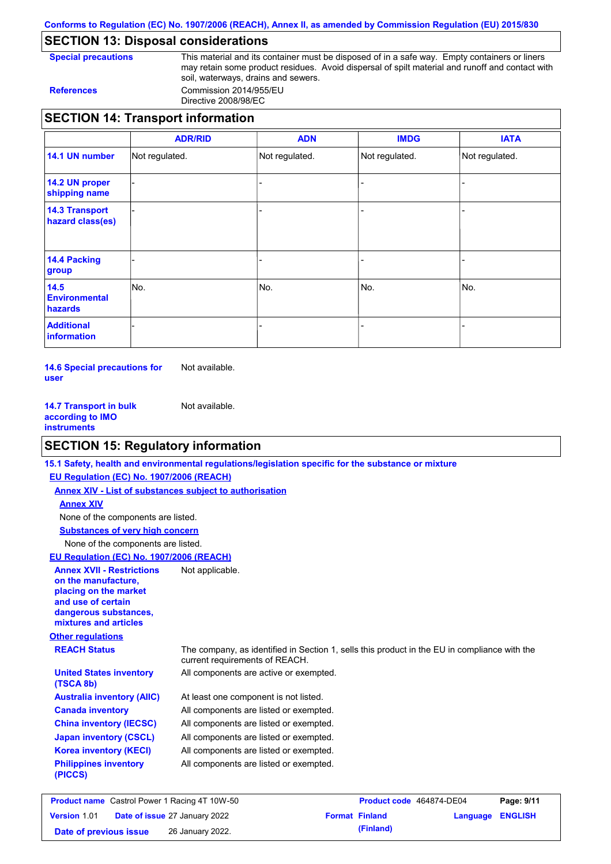**Conforms to Regulation (EC) No. 1907/2006 (REACH), Annex II, as amended by Commission Regulation (EU) 2015/830**

# **SECTION 13: Disposal considerations**

**Special precautions** This material and its container must be disposed of in a safe way. Empty containers or liners may retain some product residues. Avoid dispersal of spilt material and runoff and contact with soil, waterways, drains and sewers. **References** Commission 2014/955/EU

Directive 2008/98/EC

## **SECTION 14: Transport information**

|                                                | <b>ADR/RID</b> | <b>ADN</b>     | <b>IMDG</b>    | <b>IATA</b>    |
|------------------------------------------------|----------------|----------------|----------------|----------------|
| 14.1 UN number                                 | Not regulated. | Not regulated. | Not regulated. | Not regulated. |
| 14.2 UN proper<br>shipping name                |                |                |                |                |
| <b>14.3 Transport</b><br>hazard class(es)      |                |                |                |                |
| <b>14.4 Packing</b><br>group                   |                |                |                |                |
| 14.5<br><b>Environmental</b><br><b>hazards</b> | No.            | No.            | No.            | No.            |
| <b>Additional</b><br>information               |                |                |                |                |

**14.6 Special precautions for user** Not available.

**14.7 Transport in bulk according to IMO instruments** Not available.

# **SECTION 15: Regulatory information**

|                                                                                                                                                                        | 15.1 Safety, health and environmental regulations/legislation specific for the substance or mixture                            |
|------------------------------------------------------------------------------------------------------------------------------------------------------------------------|--------------------------------------------------------------------------------------------------------------------------------|
| EU Regulation (EC) No. 1907/2006 (REACH)                                                                                                                               |                                                                                                                                |
| Annex XIV - List of substances subject to authorisation                                                                                                                |                                                                                                                                |
| <b>Annex XIV</b>                                                                                                                                                       |                                                                                                                                |
| None of the components are listed.                                                                                                                                     |                                                                                                                                |
| <b>Substances of very high concern</b>                                                                                                                                 |                                                                                                                                |
| None of the components are listed.                                                                                                                                     |                                                                                                                                |
| EU Regulation (EC) No. 1907/2006 (REACH)                                                                                                                               |                                                                                                                                |
| <b>Annex XVII - Restrictions</b><br>on the manufacture.<br>placing on the market<br>and use of certain<br>dangerous substances,<br>mixtures and articles               | Not applicable.                                                                                                                |
| <b>Other regulations</b>                                                                                                                                               |                                                                                                                                |
| <b>REACH Status</b>                                                                                                                                                    | The company, as identified in Section 1, sells this product in the EU in compliance with the<br>current requirements of REACH. |
| <b>United States inventory</b><br>(TSCA 8b)                                                                                                                            | All components are active or exempted.                                                                                         |
| <b>Australia inventory (AIIC)</b>                                                                                                                                      | At least one component is not listed.                                                                                          |
| <b>Canada inventory</b>                                                                                                                                                | All components are listed or exempted.                                                                                         |
| <b>China inventory (IECSC)</b>                                                                                                                                         | All components are listed or exempted.                                                                                         |
| <b>Japan inventory (CSCL)</b>                                                                                                                                          | All components are listed or exempted.                                                                                         |
| <b>Korea inventory (KECI)</b>                                                                                                                                          | All components are listed or exempted.                                                                                         |
| <b>Philippines inventory</b><br>(PICCS)                                                                                                                                | All components are listed or exempted.                                                                                         |
| $D_{\text{total}}$ $A_{\text{model}}$ $D_{\text{total}}$ $D_{\text{model}}$ $D_{\text{total}}$ $A_{\text{total}}$ $A_{\text{total}}$ $A_{\text{total}}$ $F_{\text{O}}$ | $D_{\text{total}}$<br>$P = 444$                                                                                                |

| <b>Product name</b> Castrol Power 1 Racing 4T 10W-50 |  |                                      | Product code 464874-DE04 |                       | Page: 9/11              |  |
|------------------------------------------------------|--|--------------------------------------|--------------------------|-----------------------|-------------------------|--|
| <b>Version 1.01</b>                                  |  | <b>Date of issue 27 January 2022</b> |                          | <b>Format Finland</b> | <b>Language ENGLISH</b> |  |
| Date of previous issue                               |  | 26 January 2022.                     |                          | (Finland)             |                         |  |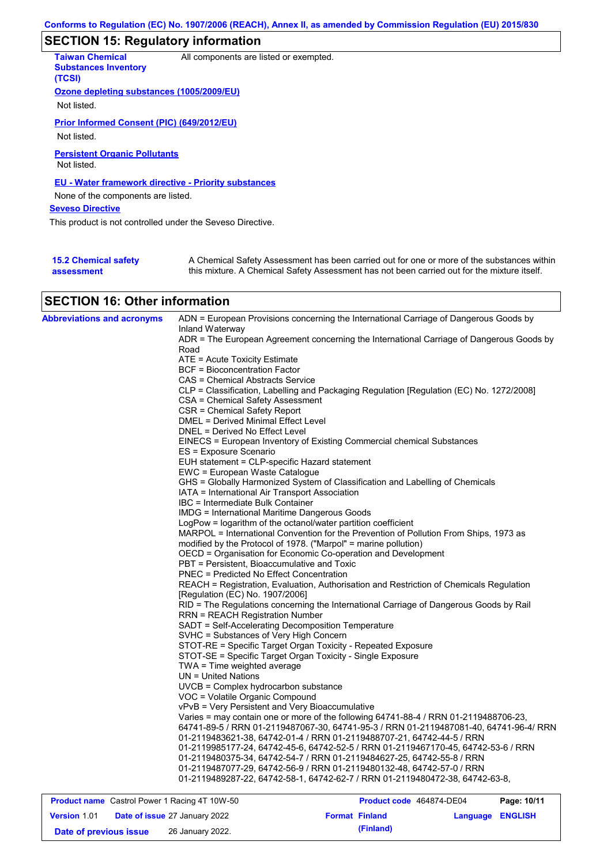# **SECTION 15: Regulatory information**

| <b>Taiwan Chemical</b><br><b>Substances Inventory</b><br>(TCSI) | All components are listed or exempted.                                                                                                                                                    |
|-----------------------------------------------------------------|-------------------------------------------------------------------------------------------------------------------------------------------------------------------------------------------|
| Ozone depleting substances (1005/2009/EU)                       |                                                                                                                                                                                           |
| Not listed.                                                     |                                                                                                                                                                                           |
| Prior Informed Consent (PIC) (649/2012/EU)                      |                                                                                                                                                                                           |
| Not listed.                                                     |                                                                                                                                                                                           |
| <b>Persistent Organic Pollutants</b><br>Not listed.             |                                                                                                                                                                                           |
| <b>EU - Water framework directive - Priority substances</b>     |                                                                                                                                                                                           |
| None of the components are listed.                              |                                                                                                                                                                                           |
| <b>Seveso Directive</b>                                         |                                                                                                                                                                                           |
| This product is not controlled under the Seveso Directive.      |                                                                                                                                                                                           |
|                                                                 |                                                                                                                                                                                           |
| <b>15.2 Chemical safety</b><br>assessment                       | A Chemical Safety Assessment has been carried out for one or more of the substances within<br>this mixture. A Chemical Safety Assessment has not been carried out for the mixture itself. |

# **SECTION 16: Other information**

| <b>Abbreviations and acronyms</b> | ADN = European Provisions concerning the International Carriage of Dangerous Goods by<br>Inland Waterway                                                                      |
|-----------------------------------|-------------------------------------------------------------------------------------------------------------------------------------------------------------------------------|
|                                   | ADR = The European Agreement concerning the International Carriage of Dangerous Goods by                                                                                      |
|                                   | Road                                                                                                                                                                          |
|                                   | ATE = Acute Toxicity Estimate                                                                                                                                                 |
|                                   | <b>BCF = Bioconcentration Factor</b>                                                                                                                                          |
|                                   | CAS = Chemical Abstracts Service                                                                                                                                              |
|                                   | CLP = Classification, Labelling and Packaging Regulation [Regulation (EC) No. 1272/2008]                                                                                      |
|                                   | CSA = Chemical Safety Assessment                                                                                                                                              |
|                                   | CSR = Chemical Safety Report                                                                                                                                                  |
|                                   | DMEL = Derived Minimal Effect Level                                                                                                                                           |
|                                   | DNEL = Derived No Effect Level                                                                                                                                                |
|                                   | EINECS = European Inventory of Existing Commercial chemical Substances<br>ES = Exposure Scenario                                                                              |
|                                   | EUH statement = CLP-specific Hazard statement                                                                                                                                 |
|                                   | EWC = European Waste Catalogue                                                                                                                                                |
|                                   | GHS = Globally Harmonized System of Classification and Labelling of Chemicals                                                                                                 |
|                                   | IATA = International Air Transport Association                                                                                                                                |
|                                   | IBC = Intermediate Bulk Container                                                                                                                                             |
|                                   | <b>IMDG</b> = International Maritime Dangerous Goods                                                                                                                          |
|                                   | LogPow = logarithm of the octanol/water partition coefficient                                                                                                                 |
|                                   | MARPOL = International Convention for the Prevention of Pollution From Ships, 1973 as                                                                                         |
|                                   | modified by the Protocol of 1978. ("Marpol" = marine pollution)                                                                                                               |
|                                   | OECD = Organisation for Economic Co-operation and Development                                                                                                                 |
|                                   | PBT = Persistent, Bioaccumulative and Toxic                                                                                                                                   |
|                                   | <b>PNEC = Predicted No Effect Concentration</b>                                                                                                                               |
|                                   | REACH = Registration, Evaluation, Authorisation and Restriction of Chemicals Regulation                                                                                       |
|                                   | [Regulation (EC) No. 1907/2006]                                                                                                                                               |
|                                   | RID = The Regulations concerning the International Carriage of Dangerous Goods by Rail                                                                                        |
|                                   | <b>RRN = REACH Registration Number</b>                                                                                                                                        |
|                                   | SADT = Self-Accelerating Decomposition Temperature                                                                                                                            |
|                                   | SVHC = Substances of Very High Concern                                                                                                                                        |
|                                   | STOT-RE = Specific Target Organ Toxicity - Repeated Exposure                                                                                                                  |
|                                   | STOT-SE = Specific Target Organ Toxicity - Single Exposure                                                                                                                    |
|                                   | TWA = Time weighted average                                                                                                                                                   |
|                                   | $UN = United Nations$                                                                                                                                                         |
|                                   | UVCB = Complex hydrocarbon substance                                                                                                                                          |
|                                   | VOC = Volatile Organic Compound                                                                                                                                               |
|                                   | vPvB = Very Persistent and Very Bioaccumulative                                                                                                                               |
|                                   | Varies = may contain one or more of the following 64741-88-4 / RRN 01-2119488706-23,<br>64741-89-5 / RRN 01-2119487067-30, 64741-95-3 / RRN 01-2119487081-40, 64741-96-4/ RRN |
|                                   | 01-2119483621-38, 64742-01-4 / RRN 01-2119488707-21, 64742-44-5 / RRN                                                                                                         |
|                                   | 01-2119985177-24, 64742-45-6, 64742-52-5 / RRN 01-2119467170-45, 64742-53-6 / RRN                                                                                             |
|                                   | 01-2119480375-34, 64742-54-7 / RRN 01-2119484627-25, 64742-55-8 / RRN                                                                                                         |
|                                   | 01-2119487077-29, 64742-56-9 / RRN 01-2119480132-48, 64742-57-0 / RRN                                                                                                         |
|                                   | 01-2119489287-22, 64742-58-1, 64742-62-7 / RRN 01-2119480472-38, 64742-63-8,                                                                                                  |
|                                   |                                                                                                                                                                               |

| <b>Product name</b> Castrol Power 1 Racing 4T 10W-50 |  |                                      | Product code 464874-DE04 |                       | Page: 10/11             |  |
|------------------------------------------------------|--|--------------------------------------|--------------------------|-----------------------|-------------------------|--|
| <b>Version 1.01</b>                                  |  | <b>Date of issue 27 January 2022</b> |                          | <b>Format Finland</b> | <b>Language ENGLISH</b> |  |
| Date of previous issue                               |  | 26 January 2022.                     |                          | (Finland)             |                         |  |